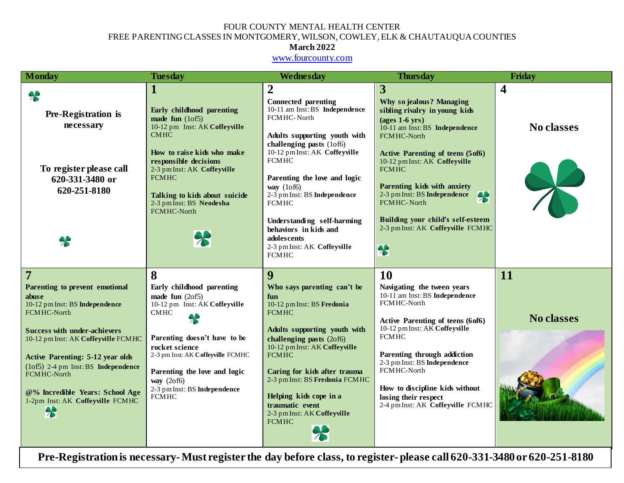## FOUR COUNTY MENTAL HEALTH CENTER FREE PARENTING CLASSES IN MONTGOMERY, WILSON, COWLEY, ELK & CHAUTAUQUA COUNTIES

## **March 2022**

#### [www.fourcounty.com](http://www.fourcounty.com/)

| <b>Monday</b>                                                                                 | <b>Tuesday</b>                                                                                                                                        | Wednesday                                                                                                                                                                                | <b>Thursday</b>                                                                                                                                                                                                                         | Friday            |
|-----------------------------------------------------------------------------------------------|-------------------------------------------------------------------------------------------------------------------------------------------------------|------------------------------------------------------------------------------------------------------------------------------------------------------------------------------------------|-----------------------------------------------------------------------------------------------------------------------------------------------------------------------------------------------------------------------------------------|-------------------|
|                                                                                               | $\mathbf I$                                                                                                                                           | $\boldsymbol{2}$                                                                                                                                                                         | 3                                                                                                                                                                                                                                       | 4                 |
| $\clubsuit$<br>Pre-Registration is<br>necessary                                               | Early childhood parenting<br>made fun $(10f5)$<br>10-12 pm Inst: AK Coffeyville<br><b>CMHC</b><br>How to raise kids who make<br>responsible decisions | <b>Connected parenting</b><br>10-11 am Inst: BS Independence<br>FCMHC-North<br>Adults supporting youth with<br>challenging pasts (1of6)<br>10-12 pm Inst: AK Coffeyville<br><b>FCMHC</b> | <b>Why so jealous? Managing</b><br>sibling rivalry in young kids<br>$\left( \text{ages } 1-6 \text{ yrs} \right)$<br>10-11 am Inst: BS Independence<br>FCMHC-North<br>Active Parenting of teens (5of6)<br>10-12 pm Inst: AK Coffeyville | <b>No classes</b> |
| To register please call<br>620-331-3480 or<br>620-251-8180                                    | 2-3 pm Inst: AK Coffeyville<br><b>FCMHC</b><br>Talking to kids about suicide<br>2-3 pm Inst: BS Neodesha                                              | Parenting the love and logic<br>way $(10f6)$<br>2-3 pm Inst: BS Independence<br><b>FCMHC</b>                                                                                             | <b>FCMHC</b><br>Parenting kids with anxiety<br>2-3 pm Inst: BS Independence<br>$\big  \big $<br>FCMHC-North                                                                                                                             |                   |
| $\clubsuit$                                                                                   | FCMHC-North<br>$\boldsymbol{\mathcal{X}}$                                                                                                             | Understanding self-harming<br>behaviors in kids and<br>adolescents<br>2-3 pm Inst: AK Coffeyville<br><b>FCMHC</b>                                                                        | Building your child's self-esteem<br>2-3 pm Inst: AK Coffeyville FCMHC<br>8                                                                                                                                                             |                   |
| $\overline{7}$                                                                                | 8                                                                                                                                                     | 9                                                                                                                                                                                        | 10                                                                                                                                                                                                                                      | 11                |
| Parenting to prevent emotional<br>abuse<br>10-12 pm Inst: BS Independence<br>FCMHC-North      | Early childhood parenting<br>made fun $(20f5)$<br>10-12 pm Inst: AK Coffeyville<br><b>CMHC</b>                                                        | Who says parenting can't be<br>fun<br>10-12 pm Inst: BS Fredonia<br><b>FCMHC</b>                                                                                                         | Navigating the tween years<br>10-11 am Inst: BS Independence<br>FCMHC-North                                                                                                                                                             |                   |
| <b>Success with under-achievers</b><br>10-12 pm Inst: AK Coffeyville FCMHC                    | $\clubsuit$<br>Parenting doesn't have to be<br>rocket science                                                                                         | Adults supporting youth with<br>challenging pasts (2of6)<br>10-12 pm Inst: AK Coffeyville                                                                                                | Active Parenting of teens (6of6)<br>10-12 pm Inst: AK Coffeyville<br><b>FCMHC</b>                                                                                                                                                       | <b>No classes</b> |
| <b>Active Parenting: 5-12 year olds</b><br>(1of5) 2-4 pm Inst: BS Independence<br>FCMHC-North | 2-3 pm Inst: AK Coffeyville FCMHC<br>Parenting the love and logic<br>way $(20f6)$                                                                     | <b>FCMHC</b><br>Caring for kids after trauma<br>2-3 pm Inst: BS Fredonia FCMHC                                                                                                           | Parenting through addiction<br>2-3 pm Inst: BS Independence<br>FCMHC-North                                                                                                                                                              |                   |
| @% Incredible Years: School Age<br>1-2pm Inst: AK Coffeyville FCMHC<br>$\ast$                 | 2-3 pm Inst: BS Independence<br><b>FCMHC</b>                                                                                                          | Helping kids cope in a<br>traumatic event<br>2-3 pm Inst: AK Coffeyville<br><b>FCMHC</b><br>$\lambda$                                                                                    | How to discipline kids without<br>losing their respect<br>2-4 pm Inst: AK Coffeyville FCMHC                                                                                                                                             |                   |

**Pre-Registration is necessary-Must register the day before class, to register- please call 620-331-3480 or 620-251-8180**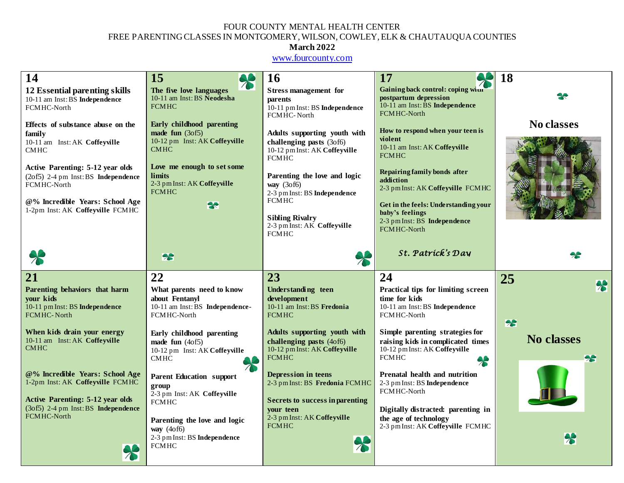## FOUR COUNTY MENTAL HEALTH CENTER FREE PARENTING CLASSES IN MONTGOMERY, WILSON, COWLEY, ELK & CHAUTAUQUA COUNTIES

## **March 2022**

[www.fourcounty.com](http://www.fourcounty.com/)

| 14                                                                                                                                                                                                                                                           | 15<br>$\clubsuit$                                                                                                                                                                                     | <b>16</b>                                                                                                                                                                                                                                                                        | 17                                                                                                                                                                                                                                                                                       | 18                                           |
|--------------------------------------------------------------------------------------------------------------------------------------------------------------------------------------------------------------------------------------------------------------|-------------------------------------------------------------------------------------------------------------------------------------------------------------------------------------------------------|----------------------------------------------------------------------------------------------------------------------------------------------------------------------------------------------------------------------------------------------------------------------------------|------------------------------------------------------------------------------------------------------------------------------------------------------------------------------------------------------------------------------------------------------------------------------------------|----------------------------------------------|
| 12 Essential parenting skills<br>10-11 am Inst: BS Independence<br>FCMHC-North                                                                                                                                                                               | The five love languages<br>10-11 am Inst: BS Neodesha<br><b>FCMHC</b>                                                                                                                                 | <b>Stress management for</b><br>parents<br>10-11 pm Inst: BS Independence<br>FCMHC-North                                                                                                                                                                                         | Gaining back control: coping with<br>postpartum depression<br>10-11 am Inst: BS Independence<br>FCMHC-North                                                                                                                                                                              |                                              |
| Effects of substance abuse on the<br>family<br>10-11 am Inst: AK Coffeyville<br><b>CMHC</b><br>Active Parenting: 5-12 year olds<br>(2of5) 2-4 pm Inst: BS Independence<br>FCMHC-North<br>@% Incredible Years: School Age<br>1-2pm Inst: AK Coffeyville FCMHC | Early childhood parenting<br>made fun $(30f5)$<br>10-12 pm Inst: AK Coffeyville<br><b>CMHC</b><br>Love me enough to set some<br>limits<br>2-3 pm Inst: AK Coffeyville<br><b>FCMHC</b><br>23           | Adults supporting youth with<br>challenging pasts (3of6)<br>10-12 pm Inst: AK Coffeyville<br><b>FCMHC</b><br>Parenting the love and logic<br>way (3of6)<br>2-3 pm Inst: BS Independence<br><b>FCMHC</b><br><b>Sibling Rivalry</b><br>2-3 pm Inst: AK Coffeyville<br><b>FCMHC</b> | How to respond when your teen is<br>violent<br>10-11 am Inst: AK Coffeyville<br><b>FCMHC</b><br>Repairing family bonds after<br>addiction<br>2-3 pm Inst: AK Coffeyville FCMHC<br>Get in the feels: Understanding your<br>baby's feelings<br>2-3 pm Inst: BS Independence<br>FCMHC-North | <b>No classes</b>                            |
|                                                                                                                                                                                                                                                              | 28                                                                                                                                                                                                    |                                                                                                                                                                                                                                                                                  | St. Patríck's Day                                                                                                                                                                                                                                                                        |                                              |
| 21<br>Parenting behaviors that harm<br>your kids<br>10-11 pm Inst: BS Independence<br><b>FCMHC-North</b><br>When kids drain your energy<br>10-11 am Inst: AK Coffeyville<br><b>CMHC</b>                                                                      | 22<br>What parents need to know<br>about Fentanyl<br>10-11 am Inst: BS Independence-<br>FCMHC-North<br>Early childhood parenting<br>made fun $(4off)$<br>10-12 pm Inst: AK Coffeyville<br><b>CMHC</b> | 23<br>Understanding teen<br>development<br>10-11 am Inst: BS Fredonia<br><b>FCMHC</b><br>Adults supporting youth with<br>challenging pasts (4of6)<br>10-12 pm Inst: AK Coffeyville<br><b>FCMHC</b>                                                                               | 24<br>Practical tips for limiting screen<br>time for kids<br>10-11 am Inst: BS Independence<br>FCMHC-North<br>Simple parenting strategies for<br>raising kids in complicated times<br>10-12 pm Inst: AK Coffeyville<br><b>FCMHC</b><br>$\clubsuit$                                       | 25<br>$\clubsuit$<br>28<br><b>No classes</b> |
| @% Incredible Years: School Age<br>1-2pm Inst: AK Coffeyville FCMHC<br><b>Active Parenting: 5-12 year olds</b><br>(3of5) 2-4 pm Inst: BS Independence<br>FCMHC-North<br>$\overline{\Lambda}$                                                                 | <b>Parent Education support</b><br>group<br>2-3 pm Inst: AK Coffeyville<br><b>FCMHC</b><br>Parenting the love and logic<br>way $(4of6)$<br>2-3 pm Inst: BS Independence<br><b>FCMHC</b>               | <b>Depression in teens</b><br>2-3 pm Inst: BS Fredonia FCMHC<br>Secrets to success in parenting<br>vour teen<br>2-3 pm Inst: AK Coffeyville<br><b>FCMHC</b>                                                                                                                      | Prenatal health and nutrition<br>2-3 pm Inst: BS Independence<br>FCMHC-North<br>Digitally distracted: parenting in<br>the age of technology<br>2-3 pm Inst: AK Coffeyville FCMHC                                                                                                         | <del>%</del>                                 |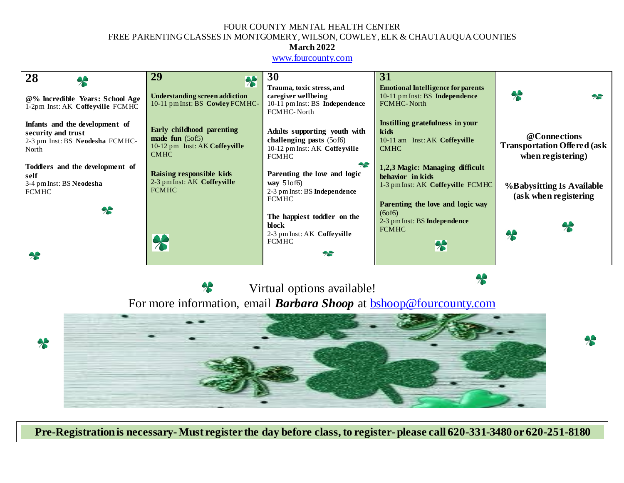## FOUR COUNTY MENTAL HEALTH CENTER FREE PARENTING CLASSES IN MONTGOMERY, WILSON, COWLEY, ELK & CHAUTAUQUA COUNTIES

## **March 2022**

### [www.fourcounty.com](http://www.fourcounty.com/)

| 28                                                                                                   | 29<br>$\clubsuit$                                                                                         | 30                                                                                                                                        | 31                                                                                                                                                                                     |                                                                         |
|------------------------------------------------------------------------------------------------------|-----------------------------------------------------------------------------------------------------------|-------------------------------------------------------------------------------------------------------------------------------------------|----------------------------------------------------------------------------------------------------------------------------------------------------------------------------------------|-------------------------------------------------------------------------|
| @% Incredible Years: School Age<br>1-2pm Inst: AK Coffeyville FCMHC                                  | <b>Understanding screen addiction</b><br>10-11 pm Inst: BS Cowley FCMHC-                                  | Trauma, toxic stress, and<br>caregiver wellbeing<br>10-11 pm Inst: BS Independence<br>FCM HC-North                                        | <b>Emotional Intelligence for parents</b><br>10-11 pm Inst: BS Independence<br><b>FCMHC-North</b>                                                                                      | $\lambda$<br>22                                                         |
| Infants and the development of<br>security and trust<br>2-3 pm Inst: BS Neodesha FCMHC-<br>North     | Early childhood parenting<br>made fun $(5 \text{ of } 5)$<br>10-12 pm Inst: AK Coffeyville<br><b>CMHC</b> | Adults supporting youth with<br>challenging pasts (5of6)<br>10-12 pm Inst: AK Coffeyville<br><b>FCMHC</b>                                 | Instilling gratefulness in your<br>kids<br>10-11 am Inst: AK Coffeyville<br><b>CMHC</b>                                                                                                | @Connections<br><b>Transportation Offered (ask</b><br>when registering) |
| Toddlers and the development of<br>self<br>3-4 pm Inst: BS Neodesha<br><b>FCMHC</b><br>$\rightarrow$ | Raising responsible kids<br>2-3 pm Inst: AK Coffeyville<br><b>FCMHC</b>                                   | 28<br>Parenting the love and logic<br>way $510f6$<br>2-3 pm Inst: BS Independence<br><b>FCMHC</b><br>The happiest toddler on the<br>block | 1,2,3 Magic: Managing difficult<br>behavior in kids<br>1-3 pm Inst: AK Coffeyville FCMHC<br>Parenting the love and logic way<br>(60f6)<br>2-3 pm Inst: BS Independence<br><b>FCMHC</b> | %Babysitting Is Available<br>(ask when registering                      |
| $\boldsymbol{\gamma}$                                                                                | $\clubsuit$                                                                                               | 2-3 pm Inst: AK Coffeyville<br><b>FCMHC</b><br>$\rightarrow$                                                                              | 8                                                                                                                                                                                      | $\lambda$                                                               |

 $\ast$ 

 $\clubsuit$ 

Virtual options available!  $\boldsymbol{\pi}$ For more information, email *Barbara Shoop* at **bshoop@fourcounty.com** 



**Pre-Registration is necessary-Must register the day before class, to register- please call 620-331-3480 or 620-251-8180**